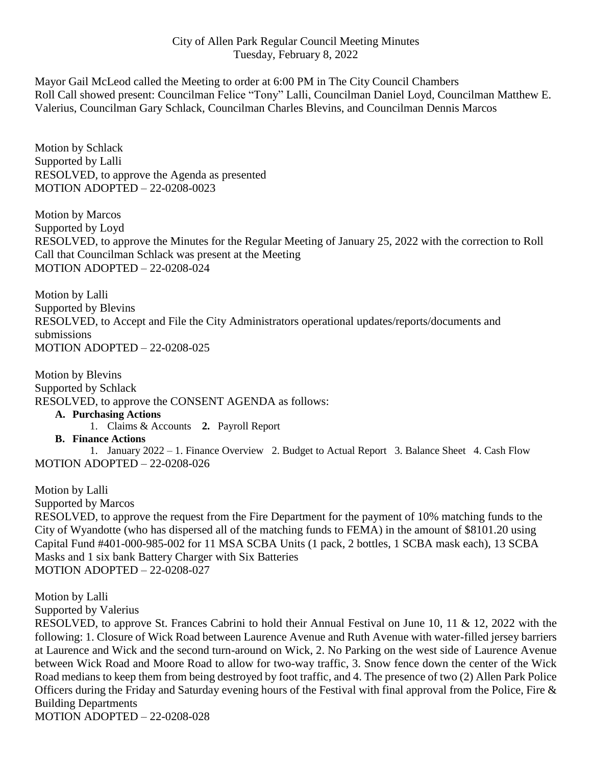## City of Allen Park Regular Council Meeting Minutes Tuesday, February 8, 2022

Mayor Gail McLeod called the Meeting to order at 6:00 PM in The City Council Chambers Roll Call showed present: Councilman Felice "Tony" Lalli, Councilman Daniel Loyd, Councilman Matthew E. Valerius, Councilman Gary Schlack, Councilman Charles Blevins, and Councilman Dennis Marcos

Motion by Schlack Supported by Lalli RESOLVED, to approve the Agenda as presented MOTION ADOPTED – 22-0208-0023

Motion by Marcos Supported by Loyd RESOLVED, to approve the Minutes for the Regular Meeting of January 25, 2022 with the correction to Roll Call that Councilman Schlack was present at the Meeting MOTION ADOPTED – 22-0208-024

Motion by Lalli Supported by Blevins RESOLVED, to Accept and File the City Administrators operational updates/reports/documents and submissions MOTION ADOPTED – 22-0208-025

Motion by Blevins Supported by Schlack RESOLVED, to approve the CONSENT AGENDA as follows:

**A. Purchasing Actions**

1. Claims & Accounts **2.** Payroll Report

**B. Finance Actions**

1. January 2022 – 1. Finance Overview 2. Budget to Actual Report 3. Balance Sheet 4. Cash Flow MOTION ADOPTED – 22-0208-026

Motion by Lalli

Supported by Marcos

RESOLVED, to approve the request from the Fire Department for the payment of 10% matching funds to the City of Wyandotte (who has dispersed all of the matching funds to FEMA) in the amount of \$8101.20 using Capital Fund #401-000-985-002 for 11 MSA SCBA Units (1 pack, 2 bottles, 1 SCBA mask each), 13 SCBA Masks and 1 six bank Battery Charger with Six Batteries MOTION ADOPTED – 22-0208-027

Motion by Lalli

Supported by Valerius

RESOLVED, to approve St. Frances Cabrini to hold their Annual Festival on June 10, 11 & 12, 2022 with the following: 1. Closure of Wick Road between Laurence Avenue and Ruth Avenue with water-filled jersey barriers at Laurence and Wick and the second turn-around on Wick, 2. No Parking on the west side of Laurence Avenue between Wick Road and Moore Road to allow for two-way traffic, 3. Snow fence down the center of the Wick Road medians to keep them from being destroyed by foot traffic, and 4. The presence of two (2) Allen Park Police Officers during the Friday and Saturday evening hours of the Festival with final approval from the Police, Fire  $\&$ Building Departments

MOTION ADOPTED – 22-0208-028